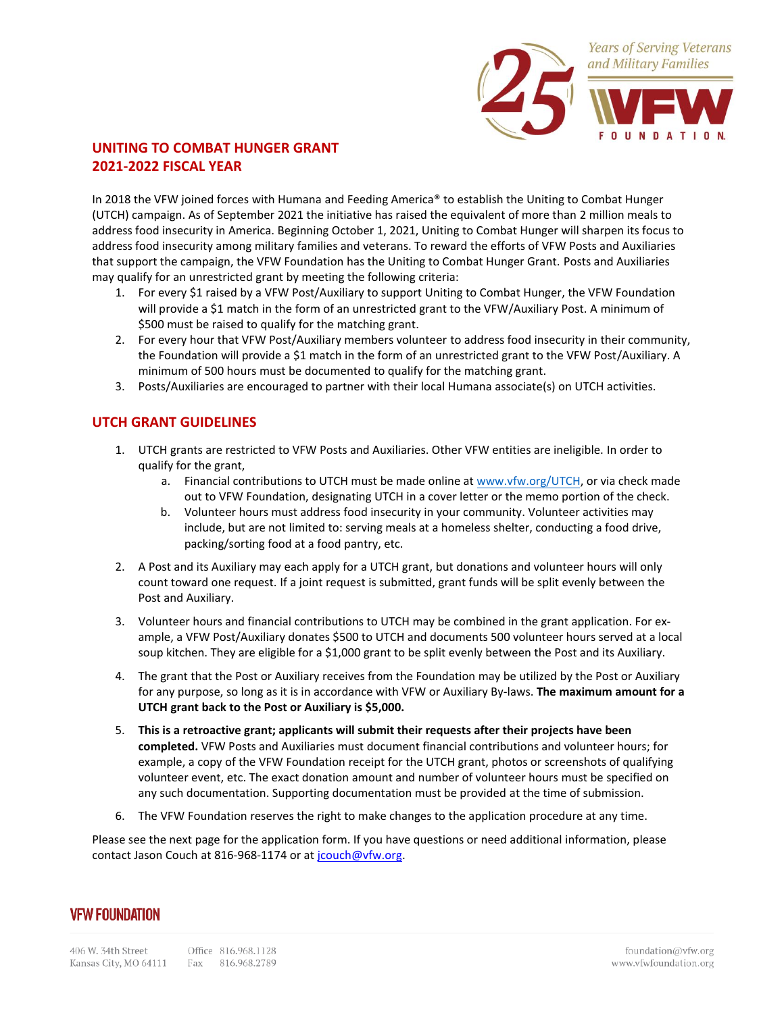

### **UNITING TO COMBAT HUNGER GRANT 2021-2022 FISCAL YEAR**

In 2018 the VFW joined forces with Humana and Feeding America® to establish the Uniting to Combat Hunger (UTCH) campaign. As of September 2021 the initiative has raised the equivalent of more than 2 million meals to address food insecurity in America. Beginning October 1, 2021, Uniting to Combat Hunger will sharpen its focus to address food insecurity among military families and veterans. To reward the efforts of VFW Posts and Auxiliaries that support the campaign, the VFW Foundation has the Uniting to Combat Hunger Grant. Posts and Auxiliaries may qualify for an unrestricted grant by meeting the following criteria:

- 1. For every \$1 raised by a VFW Post/Auxiliary to support Uniting to Combat Hunger, the VFW Foundation will provide a \$1 match in the form of an unrestricted grant to the VFW/Auxiliary Post. A minimum of \$500 must be raised to qualify for the matching grant.
- 2. For every hour that VFW Post/Auxiliary members volunteer to address food insecurity in their community, the Foundation will provide a \$1 match in the form of an unrestricted grant to the VFW Post/Auxiliary. A minimum of 500 hours must be documented to qualify for the matching grant.
- 3. Posts/Auxiliaries are encouraged to partner with their local Humana associate(s) on UTCH activities.

#### **UTCH GRANT GUIDELINES**

- 1. UTCH grants are restricted to VFW Posts and Auxiliaries. Other VFW entities are ineligible. In order to qualify for the grant,
	- a. Financial contributions to UTCH must be made online at [www.vfw.org/UTCH,](http://www.vfw.org/UTCH) or via check made out to VFW Foundation, designating UTCH in a cover letter or the memo portion of the check.
	- b. Volunteer hours must address food insecurity in your community. Volunteer activities may include, but are not limited to: serving meals at a homeless shelter, conducting a food drive, packing/sorting food at a food pantry, etc.
- 2. A Post and its Auxiliary may each apply for a UTCH grant, but donations and volunteer hours will only count toward one request. If a joint request is submitted, grant funds will be split evenly between the Post and Auxiliary.
- 3. Volunteer hours and financial contributions to UTCH may be combined in the grant application. For example, a VFW Post/Auxiliary donates \$500 to UTCH and documents 500 volunteer hours served at a local soup kitchen. They are eligible for a \$1,000 grant to be split evenly between the Post and its Auxiliary.
- 4. The grant that the Post or Auxiliary receives from the Foundation may be utilized by the Post or Auxiliary for any purpose, so long as it is in accordance with VFW or Auxiliary By-laws. **The maximum amount for a UTCH grant back to the Post or Auxiliary is \$5,000.**
- 5. **This is a retroactive grant; applicants will submit their requests after their projects have been completed.** VFW Posts and Auxiliaries must document financial contributions and volunteer hours; for example, a copy of the VFW Foundation receipt for the UTCH grant, photos or screenshots of qualifying volunteer event, etc. The exact donation amount and number of volunteer hours must be specified on any such documentation. Supporting documentation must be provided at the time of submission.
- 6. The VFW Foundation reserves the right to make changes to the application procedure at any time.

Please see the next page for the application form. If you have questions or need additional information, please contact Jason Couch at 816-968-1174 or at [jcouch@vfw.org.](mailto:jcouch@vfw.org)

## **VFW FOUNDATION**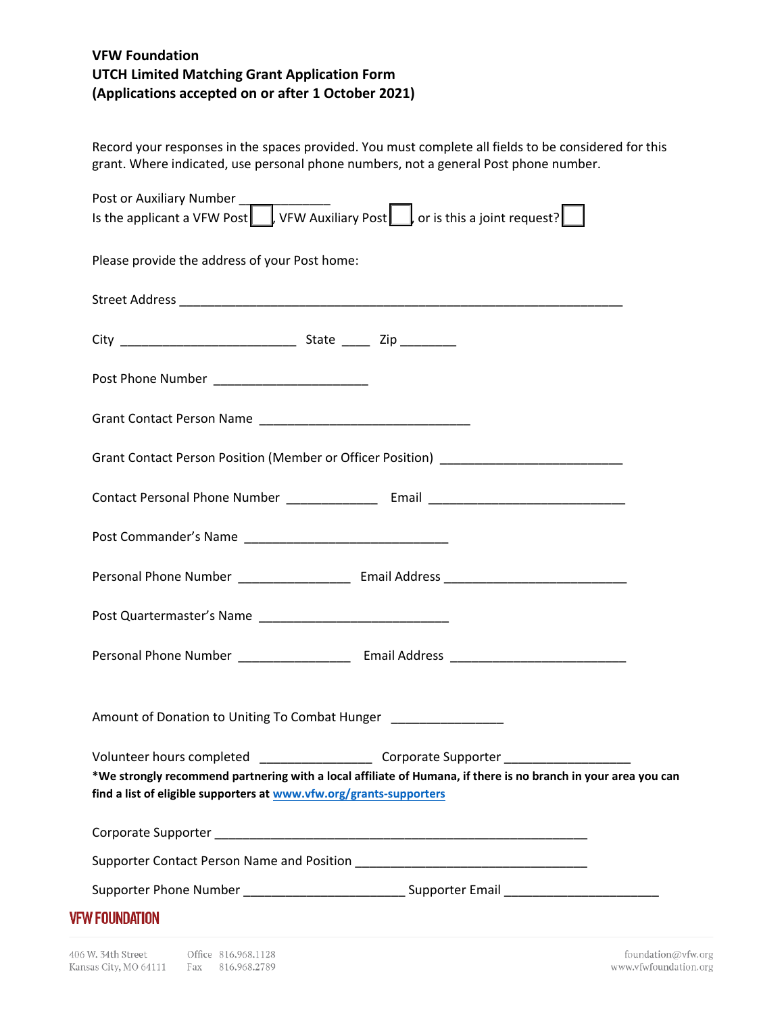# **VFW Foundation UTCH Limited Matching Grant Application Form (Applications accepted on or after 1 October 2021)**

Record your responses in the spaces provided. You must complete all fields to be considered for this grant. Where indicated, use personal phone numbers, not a general Post phone number.

| Post or Auxiliary Number<br>Is the applicant a VFW Post   vFW Auxiliary Post   or is this a joint request?          |                                                                                                                                       |
|---------------------------------------------------------------------------------------------------------------------|---------------------------------------------------------------------------------------------------------------------------------------|
|                                                                                                                     |                                                                                                                                       |
| Please provide the address of your Post home:                                                                       |                                                                                                                                       |
|                                                                                                                     |                                                                                                                                       |
|                                                                                                                     |                                                                                                                                       |
|                                                                                                                     |                                                                                                                                       |
|                                                                                                                     |                                                                                                                                       |
| Grant Contact Person Position (Member or Officer Position) _____________________                                    |                                                                                                                                       |
|                                                                                                                     |                                                                                                                                       |
|                                                                                                                     |                                                                                                                                       |
| Personal Phone Number _______________________ Email Address _____________________                                   |                                                                                                                                       |
|                                                                                                                     |                                                                                                                                       |
| Personal Phone Number _______________________ Email Address _____________________                                   |                                                                                                                                       |
| Amount of Donation to Uniting To Combat Hunger [19] [19] Amount of Donation to Uniting To Combat Hunger [19] $\sim$ |                                                                                                                                       |
| Volunteer hours completed<br>find a list of eligible supporters at www.vfw.org/grants-supporters                    | Corporate Supporter<br>*We strongly recommend partnering with a local affiliate of Humana, if there is no branch in your area you can |
|                                                                                                                     |                                                                                                                                       |
|                                                                                                                     |                                                                                                                                       |
|                                                                                                                     | Supporter Phone Number _______________________________Supporter Email _____________________________                                   |
| <b>VFW FOUNDATION</b>                                                                                               |                                                                                                                                       |